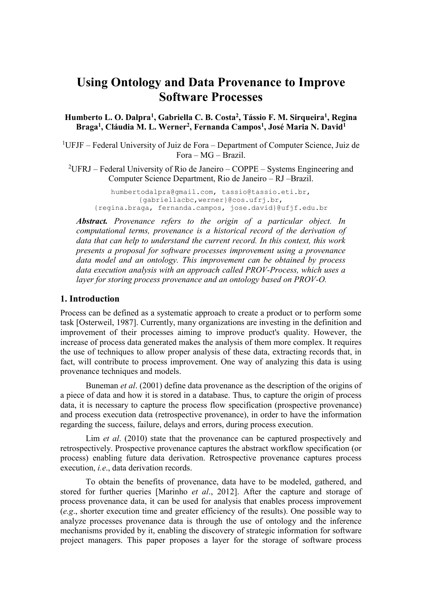# **Using Ontology and Data Provenance to Improve Software Processes**

**Humberto L. O. Dalpra<sup>1</sup> , Gabriella C. B. Costa<sup>2</sup> , Tássio F. M. Sirqueira<sup>1</sup> , Regina Braga<sup>1</sup> , Cláudia M. L. Werner<sup>2</sup> , Fernanda Campos<sup>1</sup> , José Maria N. David<sup>1</sup>**

<sup>1</sup>UFJF – Federal University of Juiz de Fora – Department of Computer Science, Juiz de Fora – MG – Brazil.

<sup>2</sup>UFRJ – Federal University of Rio de Janeiro – COPPE – Systems Engineering and Computer Science Department, Rio de Janeiro – RJ –Brazil.

humbertodalpra@gmail.com, tassio@tassio.eti.br, {gabriellacbc,werner}@cos.ufrj.br, {regina.braga, fernanda.campos, jose.david}@ufjf.edu.br

*Abstract. Provenance refers to the origin of a particular object. In computational terms, provenance is a historical record of the derivation of data that can help to understand the current record. In this context, this work presents a proposal for software processes improvement using a provenance data model and an ontology. This improvement can be obtained by process data execution analysis with an approach called PROV-Process, which uses a layer for storing process provenance and an ontology based on PROV-O.*

## **1. Introduction**

Process can be defined as a systematic approach to create a product or to perform some task [Osterweil, 1987]. Currently, many organizations are investing in the definition and improvement of their processes aiming to improve product's quality. However, the increase of process data generated makes the analysis of them more complex. It requires the use of techniques to allow proper analysis of these data, extracting records that, in fact, will contribute to process improvement. One way of analyzing this data is using provenance techniques and models.

Buneman *et al*. (2001) define data provenance as the description of the origins of a piece of data and how it is stored in a database. Thus, to capture the origin of process data, it is necessary to capture the process flow specification (prospective provenance) and process execution data (retrospective provenance), in order to have the information regarding the success, failure, delays and errors, during process execution.

Lim *et al*. (2010) state that the provenance can be captured prospectively and retrospectively. Prospective provenance captures the abstract workflow specification (or process) enabling future data derivation. Retrospective provenance captures process execution, *i.e*., data derivation records.

To obtain the benefits of provenance, data have to be modeled, gathered, and stored for further queries [Marinho *et al*., 2012]. After the capture and storage of process provenance data, it can be used for analysis that enables process improvement (*e.g*., shorter execution time and greater efficiency of the results). One possible way to analyze processes provenance data is through the use of ontology and the inference mechanisms provided by it, enabling the discovery of strategic information for software project managers. This paper proposes a layer for the storage of software process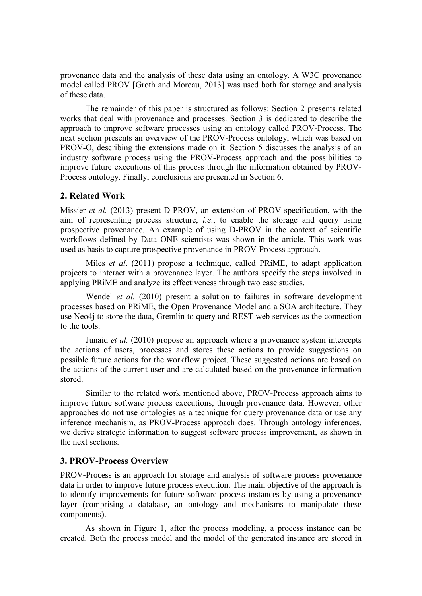provenance data and the analysis of these data using an ontology. A W3C provenance model called PROV [Groth and Moreau, 2013] was used both for storage and analysis of these data.

The remainder of this paper is structured as follows: Section 2 presents related works that deal with provenance and processes. Section 3 is dedicated to describe the approach to improve software processes using an ontology called PROV-Process. The next section presents an overview of the PROV-Process ontology, which was based on PROV-O, describing the extensions made on it. Section 5 discusses the analysis of an industry software process using the PROV-Process approach and the possibilities to improve future executions of this process through the information obtained by PROV-Process ontology. Finally, conclusions are presented in Section 6.

# **2. Related Work**

Missier *et al.* (2013) present D-PROV, an extension of PROV specification, with the aim of representing process structure, *i.e*., to enable the storage and query using prospective provenance. An example of using D-PROV in the context of scientific workflows defined by Data ONE scientists was shown in the article. This work was used as basis to capture prospective provenance in PROV-Process approach.

Miles *et al*. (2011) propose a technique, called PRiME, to adapt application projects to interact with a provenance layer. The authors specify the steps involved in applying PRiME and analyze its effectiveness through two case studies.

Wendel *et al.* (2010) present a solution to failures in software development processes based on PRiME, the Open Provenance Model and a SOA architecture. They use Neo4j to store the data, Gremlin to query and REST web services as the connection to the tools.

Junaid *et al.* (2010) propose an approach where a provenance system intercepts the actions of users, processes and stores these actions to provide suggestions on possible future actions for the workflow project. These suggested actions are based on the actions of the current user and are calculated based on the provenance information stored.

Similar to the related work mentioned above, PROV-Process approach aims to improve future software process executions, through provenance data. However, other approaches do not use ontologies as a technique for query provenance data or use any inference mechanism, as PROV-Process approach does. Through ontology inferences, we derive strategic information to suggest software process improvement, as shown in the next sections.

# **3. PROV-Process Overview**

PROV-Process is an approach for storage and analysis of software process provenance data in order to improve future process execution. The main objective of the approach is to identify improvements for future software process instances by using a provenance layer (comprising a database, an ontology and mechanisms to manipulate these components).

As shown in Figure 1, after the process modeling, a process instance can be created. Both the process model and the model of the generated instance are stored in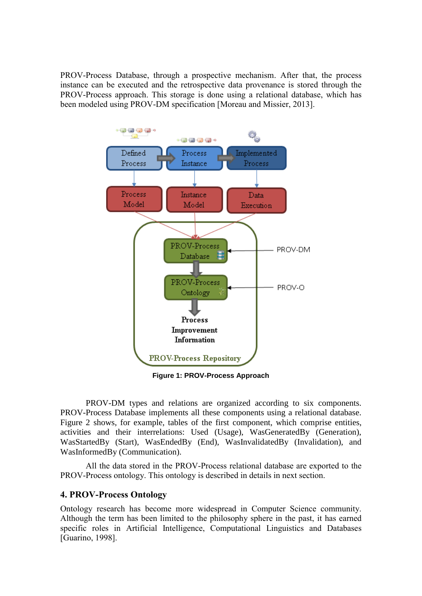PROV-Process Database, through a prospective mechanism. After that, the process instance can be executed and the retrospective data provenance is stored through the PROV-Process approach. This storage is done using a relational database, which has been modeled using PROV-DM specification [Moreau and Missier, 2013].



**Figure 1: PROV-Process Approach**

PROV-DM types and relations are organized according to six components. PROV-Process Database implements all these components using a relational database. Figure 2 shows, for example, tables of the first component, which comprise entities, activities and their interrelations: Used (Usage), WasGeneratedBy (Generation), WasStartedBy (Start), WasEndedBy (End), WasInvalidatedBy (Invalidation), and WasInformedBy (Communication).

All the data stored in the PROV-Process relational database are exported to the PROV-Process ontology. This ontology is described in details in next section.

## **4. PROV-Process Ontology**

Ontology research has become more widespread in Computer Science community. Although the term has been limited to the philosophy sphere in the past, it has earned specific roles in Artificial Intelligence, Computational Linguistics and Databases [Guarino, 1998].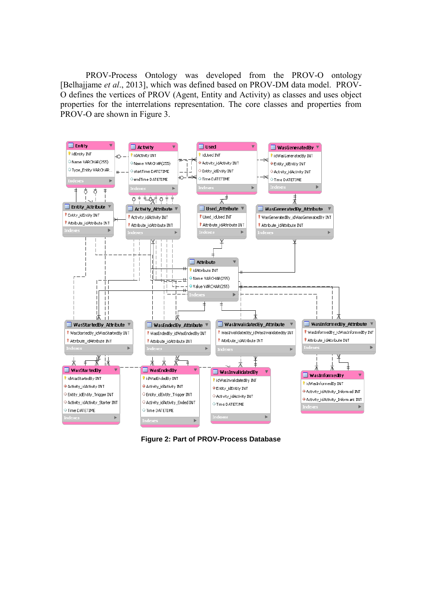PROV-Process Ontology was developed from the PROV-O ontology [Belhajjame *et al*., 2013], which was defined based on PROV-DM data model. PROV-O defines the vertices of PROV (Agent, Entity and Activity) as classes and uses object properties for the interrelations representation. The core classes and properties from PROV-O are shown in Figure 3.



**Figure 2: Part of PROV-Process Database**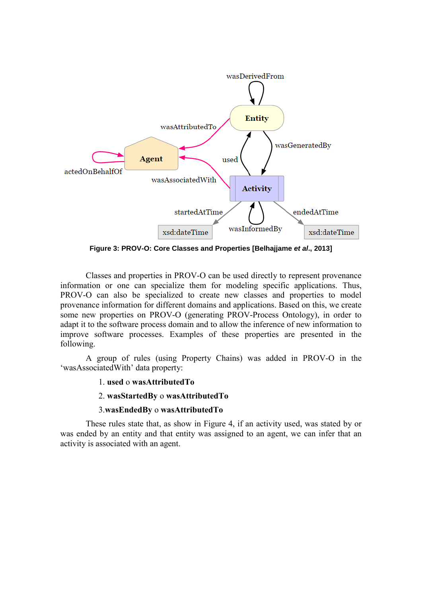

**Figure 3: PROV-O: Core Classes and Properties [Belhajjame** *et al***., 2013]**

Classes and properties in PROV-O can be used directly to represent provenance information or one can specialize them for modeling specific applications. Thus, PROV-O can also be specialized to create new classes and properties to model provenance information for different domains and applications. Based on this, we create some new properties on PROV-O (generating PROV-Process Ontology), in order to adapt it to the software process domain and to allow the inference of new information to improve software processes. Examples of these properties are presented in the following.

A group of rules (using Property Chains) was added in PROV-O in the 'wasAssociatedWith' data property:

#### 1. **used** o **wasAttributedTo**

#### 2. **wasStartedBy** o **wasAttributedTo**

#### 3.**wasEndedBy** o **wasAttributedTo**

These rules state that, as show in Figure 4, if an activity used, was stated by or was ended by an entity and that entity was assigned to an agent, we can infer that an activity is associated with an agent.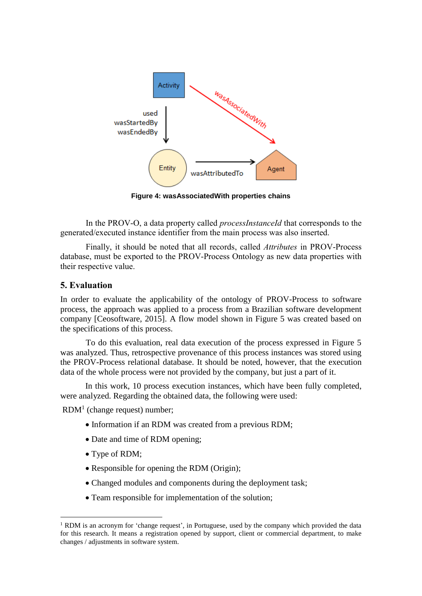

**Figure 4: wasAssociatedWith properties chains**

In the PROV-O, a data property called *processInstanceId* that corresponds to the generated/executed instance identifier from the main process was also inserted.

Finally, it should be noted that all records, called *Attributes* in PROV-Process database, must be exported to the PROV-Process Ontology as new data properties with their respective value.

### **5. Evaluation**

In order to evaluate the applicability of the ontology of PROV-Process to software process, the approach was applied to a process from a Brazilian software development company [Ceosoftware, 2015]. A flow model shown in Figure 5 was created based on the specifications of this process.

To do this evaluation, real data execution of the process expressed in Figure 5 was analyzed. Thus, retrospective provenance of this process instances was stored using the PROV-Process relational database. It should be noted, however, that the execution data of the whole process were not provided by the company, but just a part of it.

In this work, 10 process execution instances, which have been fully completed, were analyzed. Regarding the obtained data, the following were used:

 $RDM<sup>1</sup>$  (change request) number;

- Information if an RDM was created from a previous RDM;
- Date and time of RDM opening;
- Type of RDM;

<u>.</u>

- Responsible for opening the RDM (Origin);
- Changed modules and components during the deployment task;
- Team responsible for implementation of the solution;

<sup>&</sup>lt;sup>1</sup> RDM is an acronym for 'change request', in Portuguese, used by the company which provided the data for this research. It means a registration opened by support, client or commercial department, to make changes / adjustments in software system.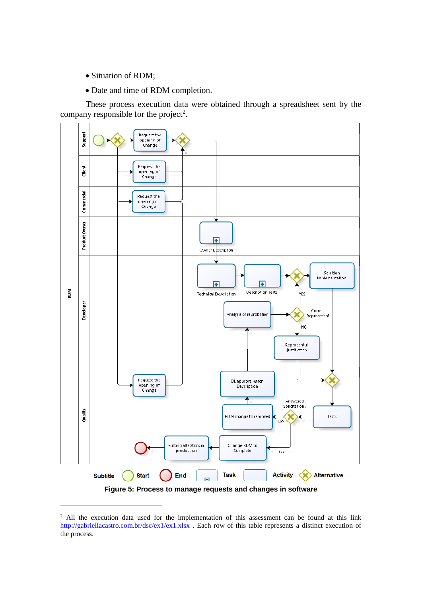• Situation of RDM;

<u>.</u>

Date and time of RDM completion.

These process execution data were obtained through a spreadsheet sent by the company responsible for the project<sup>2</sup>.



<sup>&</sup>lt;sup>2</sup> All the execution data used for the implementation of this assessment can be found at this link <http://gabriellacastro.com.br/dsc/ex1/ex1.xlsx>. Each row of this table represents a distinct execution of the process.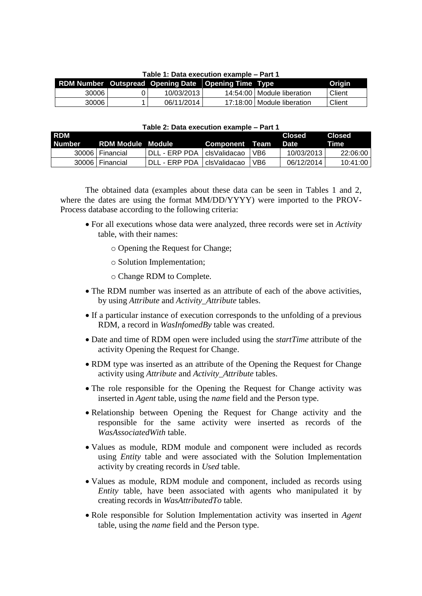| Table 1. Data execution example – Part T |  |                                                     |  |                              |        |  |  |
|------------------------------------------|--|-----------------------------------------------------|--|------------------------------|--------|--|--|
|                                          |  | RDM Number Outspread Opening Date Opening Time Type |  |                              | Origin |  |  |
| 30006                                    |  | 10/03/2013                                          |  | 14:54:00   Module liberation | Client |  |  |
| 30006                                    |  | 06/11/2014                                          |  | 17:18:00   Module liberation | Client |  |  |

# **Table 1: Data execution example – Part 1**

#### **Table 2: Data execution example – Part 1**

| <b>RDM</b><br>Number | RDM Module Module |               | Component Team |                 | Closed<br>Date | Closed<br><b>Time</b> |
|----------------------|-------------------|---------------|----------------|-----------------|----------------|-----------------------|
|                      | 30006   Financial | DLL - ERP PDA | l clsValidacao | VB <sub>6</sub> | 10/03/2013     | 22:06:00              |
|                      | 30006   Financial | DLL - ERP PDA | l clsValidacao | VB6             | 06/12/2014     | 10:41:00              |

The obtained data (examples about these data can be seen in Tables 1 and 2, where the dates are using the format MM/DD/YYYY) were imported to the PROV-Process database according to the following criteria:

- For all executions whose data were analyzed, three records were set in *Activity* table, with their names:
	- o Opening the Request for Change;
	- o Solution Implementation;
	- o Change RDM to Complete.
- The RDM number was inserted as an attribute of each of the above activities, by using *Attribute* and *Activity\_Attribute* tables.
- If a particular instance of execution corresponds to the unfolding of a previous RDM, a record in *WasInfomedBy* table was created.
- Date and time of RDM open were included using the *startTime* attribute of the activity Opening the Request for Change.
- RDM type was inserted as an attribute of the Opening the Request for Change activity using *Attribute* and *Activity\_Attribute* tables.
- The role responsible for the Opening the Request for Change activity was inserted in *Agent* table, using the *name* field and the Person type.
- Relationship between Opening the Request for Change activity and the responsible for the same activity were inserted as records of the *WasAssociatedWith* table.
- Values as module, RDM module and component were included as records using *Entity* table and were associated with the Solution Implementation activity by creating records in *Used* table.
- Values as module, RDM module and component, included as records using *Entity* table, have been associated with agents who manipulated it by creating records in *WasAttributedTo* table.
- Role responsible for Solution Implementation activity was inserted in *Agent* table, using the *name* field and the Person type.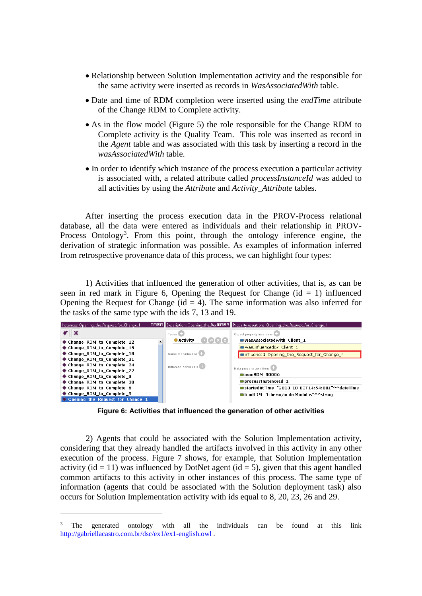- Relationship between Solution Implementation activity and the responsible for the same activity were inserted as records in *WasAssociatedWith* table.
- Date and time of RDM completion were inserted using the *endTime* attribute of the Change RDM to Complete activity.
- As in the flow model (Figure 5) the role responsible for the Change RDM to Complete activity is the Quality Team. This role was inserted as record in the *Agent* table and was associated with this task by inserting a record in the *wasAssociatedWith* table.
- In order to identify which instance of the process execution a particular activity is associated with, a related attribute called *processInstanceId* was added to all activities by using the *Attribute* and *Activity\_Attribute* tables.

After inserting the process execution data in the PROV-Process relational database, all the data were entered as individuals and their relationship in PROV-Process Ontology<sup>3</sup>. From this point, through the ontology inference engine, the derivation of strategic information was possible. As examples of information inferred from retrospective provenance data of this process, we can highlight four types:

1) Activities that influenced the generation of other activities, that is, as can be seen in red mark in Figure 6, Opening the Request for Change  $(id = 1)$  influenced Opening the Request for Change ( $id = 4$ ). The same information was also inferred for the tasks of the same type with the ids 7, 13 and 19.



**Figure 6: Activities that influenced the generation of other activities**

2) Agents that could be associated with the Solution Implementation activity, considering that they already handled the artifacts involved in this activity in any other execution of the process. Figure 7 shows, for example, that Solution Implementation activity (id = 11) was influenced by DotNet agent (id = 5), given that this agent handled common artifacts to this activity in other instances of this process. The same type of information (agents that could be associated with the Solution deployment task) also occurs for Solution Implementation activity with ids equal to 8, 20, 23, 26 and 29.

<u>.</u>

<sup>3</sup> The generated ontology with all the individuals can be found at this link <http://gabriellacastro.com.br/dsc/ex1/ex1-english.owl> .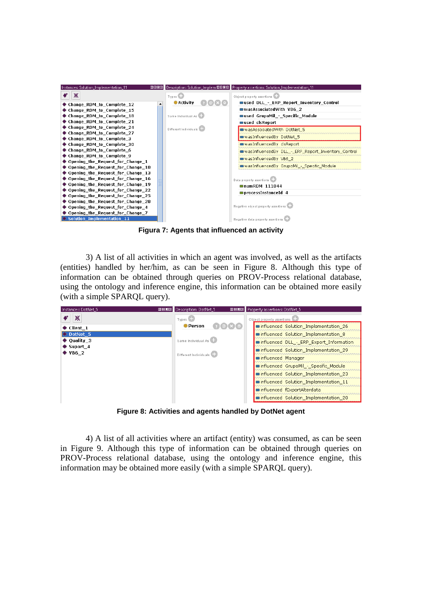

**Figura 7: Agents that influenced an activity**

3) A list of all activities in which an agent was involved, as well as the artifacts (entities) handled by her/him, as can be seen in Figure 8. Although this type of information can be obtained through queries on PROV-Process relational database, using the ontology and inference engine, this information can be obtained more easily (with a simple SPARQL query).

| Instances: DotNet_5                   | Ⅲ日回図 Description: DotNet_5 | Ⅲ日回図 Property assertions: DotNet_5       |
|---------------------------------------|----------------------------|------------------------------------------|
| ☀                                     | Types <sup>C</sup>         | Object property assertions               |
| $\bullet$ Client 1                    | ● Person                   | influenced Solution Implementation 26    |
| O DotNet 5                            |                            | influenced Solution Implementation 8     |
| $\bullet$ Quality 3                   | Same Individual As         | minfluenced DLL - ERP Export Information |
| $\bullet$ Suport 4<br>$\bullet$ VB6 2 |                            | influenced Solution Implementation 29    |
|                                       | Different Individuals      | ninfluenced Manager                      |
|                                       |                            | influenced GrupoMil - Specific Module    |
|                                       |                            | influenced Solution Implementation 23    |
|                                       |                            | influenced Solution Implementation 11    |
|                                       |                            | ninfluenced fExportAlterdata             |
|                                       |                            | ninfluenced Solution_Implementation_20   |
|                                       |                            |                                          |

**Figure 8: Activities and agents handled by DotNet agent**

4) A list of all activities where an artifact (entity) was consumed, as can be seen in Figure 9. Although this type of information can be obtained through queries on PROV-Process relational database, using the ontology and inference engine, this information may be obtained more easily (with a simple SPARQL query).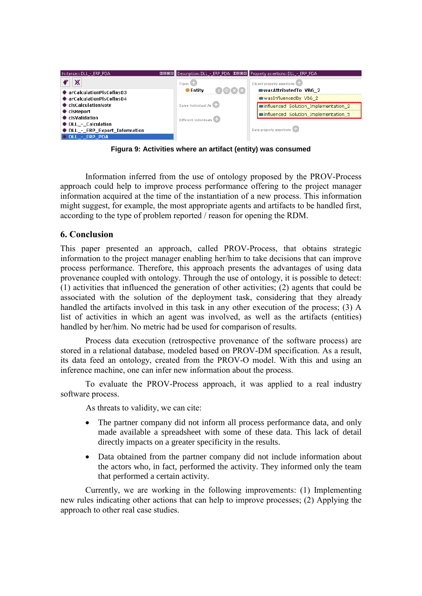

**Figura 9: Activities where an artifact (entity) was consumed**

Information inferred from the use of ontology proposed by the PROV-Process approach could help to improve process performance offering to the project manager information acquired at the time of the instantiation of a new process. This information might suggest, for example, the most appropriate agents and artifacts to be handled first, according to the type of problem reported / reason for opening the RDM.

# **6. Conclusion**

This paper presented an approach, called PROV-Process, that obtains strategic information to the project manager enabling her/him to take decisions that can improve process performance. Therefore, this approach presents the advantages of using data provenance coupled with ontology. Through the use of ontology, it is possible to detect: (1) activities that influenced the generation of other activities; (2) agents that could be associated with the solution of the deployment task, considering that they already handled the artifacts involved in this task in any other execution of the process; (3) A list of activities in which an agent was involved, as well as the artifacts (entities) handled by her/him. No metric had be used for comparison of results.

Process data execution (retrospective provenance of the software process) are stored in a relational database, modeled based on PROV-DM specification. As a result, its data feed an ontology, created from the PROV-O model. With this and using an inference machine, one can infer new information about the process.

To evaluate the PROV-Process approach, it was applied to a real industry software process.

As threats to validity, we can cite:

- The partner company did not inform all process performance data, and only made available a spreadsheet with some of these data. This lack of detail directly impacts on a greater specificity in the results.
- Data obtained from the partner company did not include information about the actors who, in fact, performed the activity. They informed only the team that performed a certain activity.

Currently, we are working in the following improvements: (1) Implementing new rules indicating other actions that can help to improve processes; (2) Applying the approach to other real case studies.